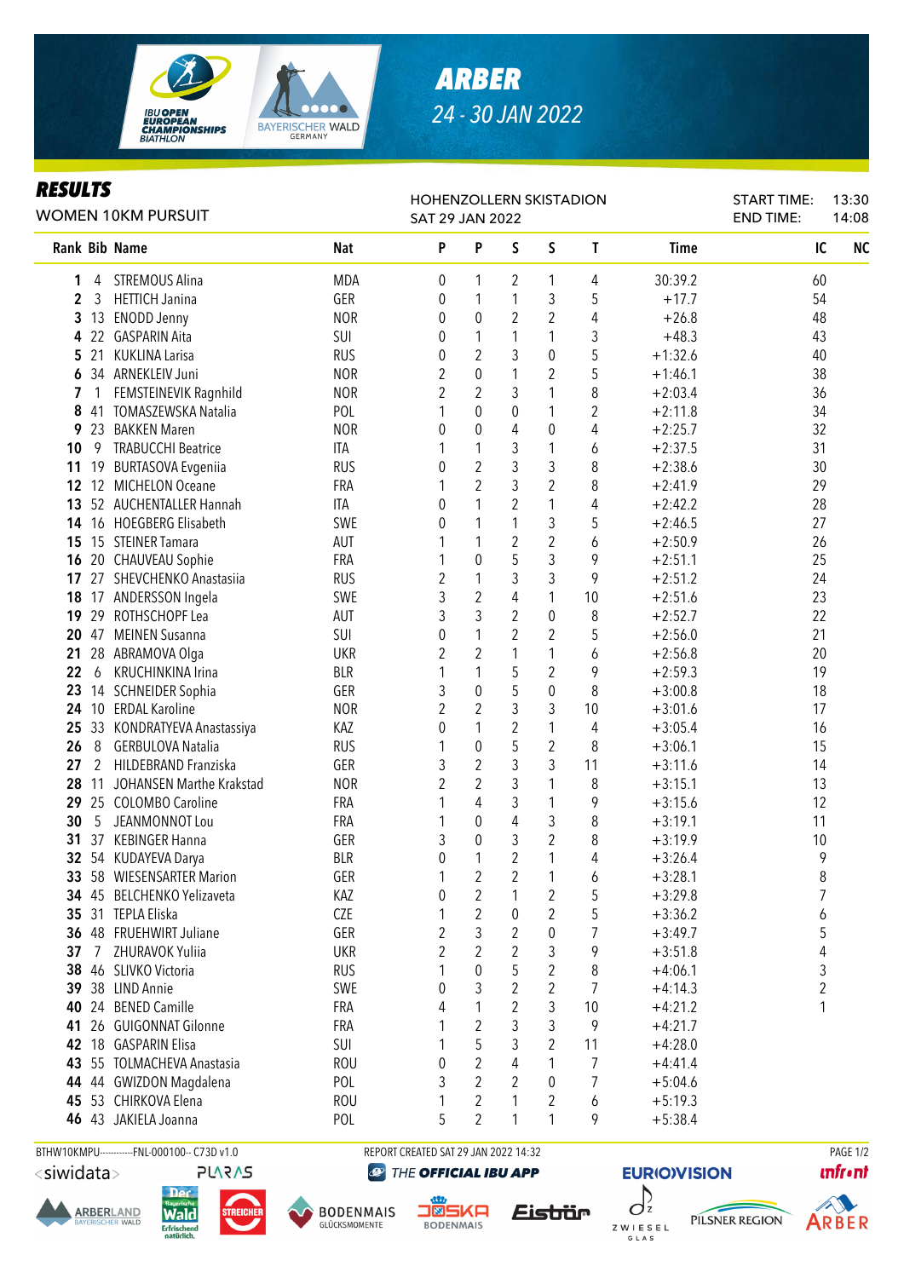

## *ARBER 24 - 30 JAN 2022*

## *RESULTS*

|              |    | WOMEN 10KM PURSUIT         |            | <b>HOHENZOLLERN SKISTADION</b><br><b>SAT 29 JAN 2022</b> |                  |                |                |                  |             |    |  | 13:30<br>14:08 |  |
|--------------|----|----------------------------|------------|----------------------------------------------------------|------------------|----------------|----------------|------------------|-------------|----|--|----------------|--|
|              |    | Rank Bib Name              | <b>Nat</b> | P                                                        | P                | S              | S              | T                | <b>Time</b> | IC |  | N <sub>C</sub> |  |
| 1            | 4  | STREMOUS Alina             | <b>MDA</b> | 0                                                        | 1                | 2              | 1              | 4                | 30:39.2     | 60 |  |                |  |
| $\mathbf{2}$ | 3  | <b>HETTICH Janina</b>      | GER        | 0                                                        | 1                | 1              | 3              | 5                | $+17.7$     | 54 |  |                |  |
| 3            |    | 13 ENODD Jenny             | <b>NOR</b> | 0                                                        | $\boldsymbol{0}$ | $\overline{2}$ | $\overline{2}$ | 4                | $+26.8$     | 48 |  |                |  |
| 4            |    | 22 GASPARIN Aita           | SUI        | 0                                                        | 1                | 1              | 1              | 3                | $+48.3$     | 43 |  |                |  |
| 5            | 21 | <b>KUKLINA Larisa</b>      | <b>RUS</b> | 0                                                        | $\overline{2}$   | 3              | 0              | 5                | $+1:32.6$   | 40 |  |                |  |
| 6            |    | 34 ARNEKLEIV Juni          | <b>NOR</b> | 2                                                        | $\mathbf 0$      | 1              | 2              | 5                | $+1:46.1$   | 38 |  |                |  |
| 7            | 1  | FEMSTEINEVIK Ragnhild      | <b>NOR</b> | $\overline{2}$                                           | $\overline{2}$   | 3              | 1              | 8                | $+2:03.4$   | 36 |  |                |  |
| 8            | 41 | TOMASZEWSKA Natalia        | POL        | 1                                                        | $\mathbf 0$      | $\theta$       | 1              | $\boldsymbol{2}$ | $+2:11.8$   | 34 |  |                |  |
| 9            | 23 | <b>BAKKEN Maren</b>        | <b>NOR</b> | 0                                                        | $\boldsymbol{0}$ | 4              | 0              | 4                | $+2:25.7$   | 32 |  |                |  |
| 10           | 9  | <b>TRABUCCHI Beatrice</b>  | ITA        |                                                          | 1                | 3              | 1              | 6                | $+2:37.5$   | 31 |  |                |  |
| 11           |    | 19 BURTASOVA Evgeniia      | <b>RUS</b> | $\pmb{0}$                                                | $\overline{2}$   | 3              | 3              | 8                | $+2:38.6$   | 30 |  |                |  |
| 12           |    | 12 MICHELON Oceane         | <b>FRA</b> |                                                          | $\overline{2}$   | 3              | $\overline{2}$ | 8                | $+2:41.9$   | 29 |  |                |  |
| 13           |    | 52 AUCHENTALLER Hannah     | <b>ITA</b> | 0                                                        | $\mathbf{1}$     | $\overline{2}$ | 1              | 4                | $+2:42.2$   | 28 |  |                |  |
| 14           |    | 16 HOEGBERG Elisabeth      | SWE        | 0                                                        | 1                | 1              | 3              | 5                | $+2:46.5$   | 27 |  |                |  |
| 15           |    | 15 STEINER Tamara          | AUT        |                                                          | $\mathbf{1}$     | $\overline{2}$ | $\overline{2}$ | 6                | $+2:50.9$   | 26 |  |                |  |
| 16           |    | 20 CHAUVEAU Sophie         | FRA        |                                                          | $\mathbf 0$      | 5              | 3              | 9                | $+2:51.1$   | 25 |  |                |  |
| 17           |    | 27 SHEVCHENKO Anastasiia   | <b>RUS</b> | 2                                                        | $\mathbf{1}$     | 3              | 3              | 9                | $+2:51.2$   | 24 |  |                |  |
| 18           |    | 17 ANDERSSON Ingela        | SWE        | 3                                                        | $\overline{2}$   | $\overline{4}$ | 1              | 10               | $+2:51.6$   | 23 |  |                |  |
| 19           |    | 29 ROTHSCHOPF Lea          | AUT        | 3                                                        | $\overline{3}$   | $\overline{2}$ | 0              | 8                | $+2:52.7$   | 22 |  |                |  |
| 20           |    | 47 MEINEN Susanna          | SUI        | $\mathbf{0}$                                             | $\mathbf{1}$     | $\overline{2}$ | 2              | 5                | $+2:56.0$   | 21 |  |                |  |
| 21           |    | 28 ABRAMOVA Olga           | <b>UKR</b> | 2                                                        | $\overline{2}$   | 1              | 1              | 6                | $+2:56.8$   | 20 |  |                |  |
| 22           | 6  | KRUCHINKINA Irina          | <b>BLR</b> | 1                                                        | 1                | 5              | $\overline{2}$ | 9                | $+2:59.3$   | 19 |  |                |  |
| 23           |    | 14 SCHNEIDER Sophia        | GER        | 3                                                        | $\mathbf 0$      | 5              | 0              | 8                | $+3:00.8$   | 18 |  |                |  |
| 24           |    | 10 ERDAL Karoline          | <b>NOR</b> | 2                                                        | $\overline{2}$   | 3              | 3              | 10               | $+3:01.6$   | 17 |  |                |  |
| 25           |    | 33 KONDRATYEVA Anastassiya | KAZ        | 0                                                        | 1                | $\overline{2}$ | 1              | 4                | $+3:05.4$   | 16 |  |                |  |
| 26           | 8  | <b>GERBULOVA Natalia</b>   | <b>RUS</b> | 1                                                        | $\boldsymbol{0}$ | 5              | $\overline{2}$ | 8                | $+3:06.1$   | 15 |  |                |  |
| 27           | 2  | HILDEBRAND Franziska       | GER        | 3                                                        | $\overline{2}$   | 3              | 3              | 11               | $+3:11.6$   | 14 |  |                |  |
| 28           | 11 | JOHANSEN Marthe Krakstad   | <b>NOR</b> | 2                                                        | $\overline{2}$   | 3              | 1              | 8                | $+3:15.1$   | 13 |  |                |  |
| 29           |    | 25 COLOMBO Caroline        | FRA        |                                                          | 4                | 3              | 1              | 9                | $+3:15.6$   | 12 |  |                |  |
| 30           | 5  | JEANMONNOT Lou             | FRA        |                                                          | $\boldsymbol{0}$ | 4              | 3              | 8                | $+3:19.1$   | 11 |  |                |  |
| 31           |    | 37 KEBINGER Hanna          | GER        | 3                                                        | $\mathbf 0$      | 3              | $\overline{2}$ | 8                | $+3:19.9$   | 10 |  |                |  |
|              |    | 32 54 KUDAYEVA Darya       | <b>BLR</b> | $\pmb{0}$                                                | 1                | $\overline{2}$ | 1              | 4                | $+3:26.4$   | 9  |  |                |  |
|              |    | 33 58 WIESENSARTER Marion  | GER        | 1                                                        | $\boldsymbol{2}$ | $\overline{c}$ | 1              | 6                | $+3:28.1$   | 8  |  |                |  |
|              |    | 34 45 BELCHENKO Yelizaveta | KAZ        | 0                                                        | $\boldsymbol{2}$ | 1              | 2              | 5                | $+3:29.8$   | 7  |  |                |  |
| 35           |    | 31 TEPLA Eliska            | CZE        |                                                          | $\boldsymbol{2}$ | 0              | 2              | 5                | $+3:36.2$   | 6  |  |                |  |
| 36           |    | 48 FRUEHWIRT Juliane       | GER        | $\sqrt{2}$                                               | $\mathfrak{Z}$   | $\overline{2}$ | 0              | 7                | $+3:49.7$   | 5  |  |                |  |
| 37           | 7  | ZHURAVOK Yuliia            | <b>UKR</b> | 2                                                        | $\overline{2}$   | 2              | 3              | 9                | $+3:51.8$   | 4  |  |                |  |
| 38           |    | 46 SLIVKO Victoria         | <b>RUS</b> |                                                          | $\mathbf 0$      | 5              | 2              | 8                | $+4:06.1$   | 3  |  |                |  |
| 39           |    | 38 LIND Annie              | SWE        | 0                                                        | 3                | $\overline{2}$ | $\overline{2}$ | $\overline{7}$   | $+4:14.3$   | 2  |  |                |  |
| 40           | 24 | <b>BENED Camille</b>       | FRA        | 4                                                        | 1                | $\overline{2}$ | 3              | 10               | $+4:21.2$   | 1  |  |                |  |
| 41           |    | 26 GUIGONNAT Gilonne       | FRA        |                                                          | $\overline{2}$   | 3              | 3              | 9                | $+4:21.7$   |    |  |                |  |
| 42           |    | 18 GASPARIN Elisa          | SUI        |                                                          | 5                | 3              | 2              | 11               | $+4:28.0$   |    |  |                |  |
| 43           |    | 55 TOLMACHEVA Anastasia    | <b>ROU</b> | 0                                                        | $\overline{2}$   | 4              | 1              | 7                | $+4:41.4$   |    |  |                |  |
| 44           |    | 44 GWIZDON Magdalena       | POL        | 3                                                        | 2                | 2              | 0              | 7                | $+5:04.6$   |    |  |                |  |
|              |    | 45 53 CHIRKOVA Elena       | <b>ROU</b> | 1                                                        | 2                | 1              | 2              | 6                | $+5:19.3$   |    |  |                |  |
|              |    | 46 43 JAKIELA Joanna       | POL        | 5                                                        | $\overline{2}$   | 1              | 1              | 9                | $+5:38.4$   |    |  |                |  |

<siwidata>

**ARBERLAND** 

**PLARAS** 

Wald

**Erfrischend** 

BTHW10KMPU-----------FNL-000100-- C73D v1.0 REPORT CREATED SAT 29 JAN 2022 14:32 REPORT CREATED SAT 29 JAN 2022 14:32 THE OFFICIAL IBU APP



**DENWAIS** 

Eistrür